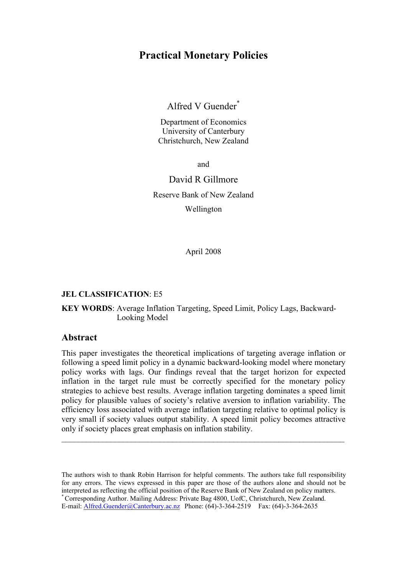# **Practical Monetary Policies**

# Alfred V Guender\*

Department of Economics University of Canterbury Christchurch, New Zealand

and

## David R Gillmore

Reserve Bank of New Zealand Wellington

April 2008

#### **JEL CLASSIFICATION**: E5

#### **KEY WORDS**: Average Inflation Targeting, Speed Limit, Policy Lags, Backward- Looking Model

#### **Abstract**

This paper investigates the theoretical implications of targeting average inflation or following a speed limit policy in a dynamic backward-looking model where monetary policy works with lags. Our findings reveal that the target horizon for expected inflation in the target rule must be correctly specified for the monetary policy strategies to achieve best results. Average inflation targeting dominates a speed limit policy for plausible values of society's relative aversion to inflation variability. The efficiency loss associated with average inflation targeting relative to optimal policy is very small if society values output stability. A speed limit policy becomes attractive only if society places great emphasis on inflation stability.

 $\mathcal{L}_\mathcal{L} = \mathcal{L}_\mathcal{L} = \mathcal{L}_\mathcal{L} = \mathcal{L}_\mathcal{L} = \mathcal{L}_\mathcal{L} = \mathcal{L}_\mathcal{L} = \mathcal{L}_\mathcal{L} = \mathcal{L}_\mathcal{L} = \mathcal{L}_\mathcal{L} = \mathcal{L}_\mathcal{L} = \mathcal{L}_\mathcal{L} = \mathcal{L}_\mathcal{L} = \mathcal{L}_\mathcal{L} = \mathcal{L}_\mathcal{L} = \mathcal{L}_\mathcal{L} = \mathcal{L}_\mathcal{L} = \mathcal{L}_\mathcal{L}$ 

The authors wish to thank Robin Harrison for helpful comments. The authors take full responsibility for any errors. The views expressed in this paper are those of the authors alone and should not be interpreted as reflecting the official position of the Reserve Bank of New Zealand on policy matters. \* Corresponding Author. Mailing Address: Private Bag 4800, UofC, Christchurch, New Zealand. E-mail: Alfred.Guender@Canterbury.ac.nz Phone: (64)-3-364-2519 Fax: (64)-3-364-2635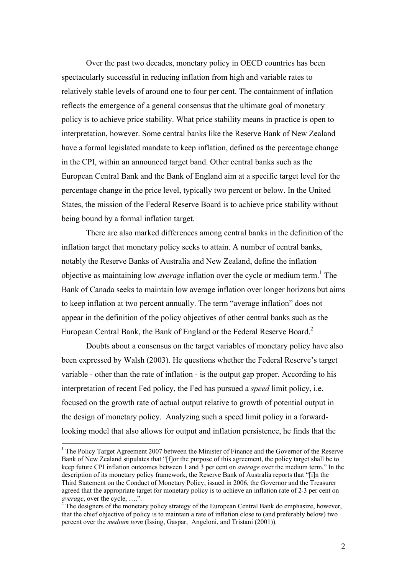Over the past two decades, monetary policy in OECD countries has been spectacularly successful in reducing inflation from high and variable rates to relatively stable levels of around one to four per cent. The containment of inflation reflects the emergence of a general consensus that the ultimate goal of monetary policy is to achieve price stability. What price stability means in practice is open to interpretation, however. Some central banks like the Reserve Bank of New Zealand have a formal legislated mandate to keep inflation, defined as the percentage change in the CPI, within an announced target band. Other central banks such as the European Central Bank and the Bank of England aim at a specific target level for the percentage change in the price level, typically two percent or below. In the United States, the mission of the Federal Reserve Board is to achieve price stability without being bound by a formal inflation target.

There are also marked differences among central banks in the definition of the inflation target that monetary policy seeks to attain. A number of central banks, notably the Reserve Banks of Australia and New Zealand, define the inflation objective as maintaining low *average* inflation over the cycle or medium term.<sup>1</sup> The Bank of Canada seeks to maintain low average inflation over longer horizons but aims to keep inflation at two percent annually. The term "average inflation" does not appear in the definition of the policy objectives of other central banks such as the European Central Bank, the Bank of England or the Federal Reserve Board.<sup>2</sup>

Doubts about a consensus on the target variables of monetary policy have also been expressed by Walsh (2003). He questions whether the Federal Reserve's target variable - other than the rate of inflation - is the output gap proper. According to his interpretation of recent Fed policy, the Fed has pursued a *speed* limit policy, i.e. focused on the growth rate of actual output relative to growth of potential output in the design of monetary policy. Analyzing such a speed limit policy in a forwardlooking model that also allows for output and inflation persistence, he finds that the

<sup>&</sup>lt;sup>1</sup> The Policy Target Agreement 2007 between the Minister of Finance and the Governor of the Reserve Bank of New Zealand stipulates that "[f]or the purpose of this agreement, the policy target shall be to keep future CPI inflation outcomes between 1 and 3 per cent on *average* over the medium term." In the description of its monetary policy framework, the Reserve Bank of Australia reports that "[i]n the Third Statement on the Conduct of Monetary Policy, issued in 2006, the Governor and the Treasurer agreed that the appropriate target for monetary policy is to achieve an inflation rate of 2-3 per cent on *average*, over the cycle, ….".

 $2^2$  The designers of the monetary policy strategy of the European Central Bank do emphasize, however, that the chief objective of policy is to maintain a rate of inflation close to (and preferably below) two percent over the *medium term* (Issing, Gaspar, Angeloni, and Tristani (2001)).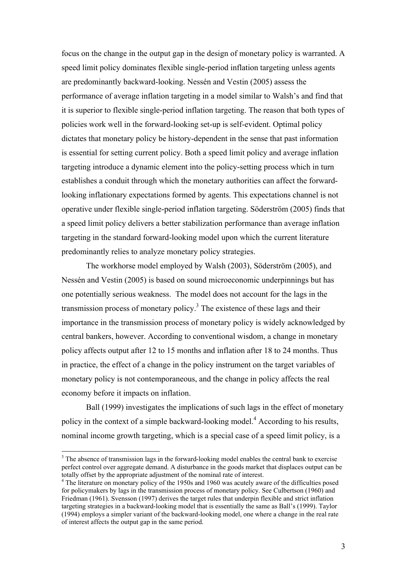focus on the change in the output gap in the design of monetary policy is warranted. A speed limit policy dominates flexible single-period inflation targeting unless agents are predominantly backward-looking. Nessén and Vestin (2005) assess the performance of average inflation targeting in a model similar to Walsh's and find that it is superior to flexible single-period inflation targeting. The reason that both types of policies work well in the forward-looking set-up is self-evident. Optimal policy dictates that monetary policy be history-dependent in the sense that past information is essential for setting current policy. Both a speed limit policy and average inflation targeting introduce a dynamic element into the policy-setting process which in turn establishes a conduit through which the monetary authorities can affect the forwardlooking inflationary expectations formed by agents. This expectations channel is not operative under flexible single-period inflation targeting. Söderström (2005) finds that a speed limit policy delivers a better stabilization performance than average inflation targeting in the standard forward-looking model upon which the current literature predominantly relies to analyze monetary policy strategies.

The workhorse model employed by Walsh (2003), Söderström (2005), and Nessén and Vestin (2005) is based on sound microeconomic underpinnings but has one potentially serious weakness. The model does not account for the lags in the transmission process of monetary policy. 3 The existence of these lags and their importance in the transmission process of monetary policy is widely acknowledged by central bankers, however. According to conventional wisdom, a change in monetary policy affects output after 12 to 15 months and inflation after 18 to 24 months. Thus in practice, the effect of a change in the policy instrument on the target variables of monetary policy is not contemporaneous, and the change in policy affects the real economy before it impacts on inflation.

Ball (1999) investigates the implications of such lags in the effect of monetary policy in the context of a simple backward-looking model.<sup>4</sup> According to his results, nominal income growth targeting, which is a special case of a speed limit policy, is a

 $3$  The absence of transmission lags in the forward-looking model enables the central bank to exercise perfect control over aggregate demand. A disturbance in the goods market that displaces output can be totally offset by the appropriate adjustment of the nominal rate of interest.

<sup>&</sup>lt;sup>4</sup> The literature on monetary policy of the 1950s and 1960 was acutely aware of the difficulties posed for policymakers by lags in the transmission process of monetary policy. See Culbertson (1960) and Friedman (1961). Svensson (1997) derives the target rules that underpin flexible and strict inflation targeting strategies in a backward-looking model that is essentially the same as Ball's (1999). Taylor (1994) employs a simpler variant of the backward-looking model, one where a change in the real rate of interest affects the output gap in the same period.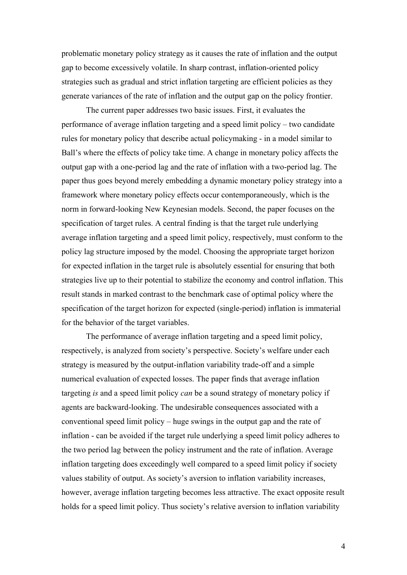problematic monetary policy strategy as it causes the rate of inflation and the output gap to become excessively volatile. In sharp contrast, inflation-oriented policy strategies such as gradual and strict inflation targeting are efficient policies as they generate variances of the rate of inflation and the output gap on the policy frontier.

The current paper addresses two basic issues. First, it evaluates the performance of average inflation targeting and a speed limit policy – two candidate rules for monetary policy that describe actual policymaking - in a model similar to Ball's where the effects of policy take time. A change in monetary policy affects the output gap with a one-period lag and the rate of inflation with a two-period lag. The paper thus goes beyond merely embedding a dynamic monetary policy strategy into a framework where monetary policy effects occur contemporaneously, which is the norm in forward-looking New Keynesian models. Second, the paper focuses on the specification of target rules. A central finding is that the target rule underlying average inflation targeting and a speed limit policy, respectively, must conform to the policy lag structure imposed by the model. Choosing the appropriate target horizon for expected inflation in the target rule is absolutely essential for ensuring that both strategies live up to their potential to stabilize the economy and control inflation. This result stands in marked contrast to the benchmark case of optimal policy where the specification of the target horizon for expected (single-period) inflation is immaterial for the behavior of the target variables.

The performance of average inflation targeting and a speed limit policy, respectively, is analyzed from society's perspective. Society's welfare under each strategy is measured by the output-inflation variability trade-off and a simple numerical evaluation of expected losses. The paper finds that average inflation targeting *is* and a speed limit policy *can* be a sound strategy of monetary policy if agents are backward-looking. The undesirable consequences associated with a conventional speed limit policy – huge swings in the output gap and the rate of inflation - can be avoided if the target rule underlying a speed limit policy adheres to the two period lag between the policy instrument and the rate of inflation. Average inflation targeting does exceedingly well compared to a speed limit policy if society values stability of output. As society's aversion to inflation variability increases, however, average inflation targeting becomes less attractive. The exact opposite result holds for a speed limit policy. Thus society's relative aversion to inflation variability

4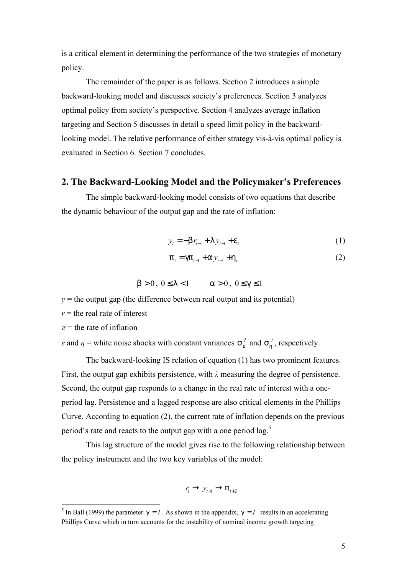is a critical element in determining the performance of the two strategies of monetary policy.

The remainder of the paper is as follows. Section 2 introduces a simple backward-looking model and discusses society's preferences. Section 3 analyzes optimal policy from society's perspective. Section 4 analyzes average inflation targeting and Section 5 discusses in detail a speed limit policy in the backwardlooking model. The relative performance of either strategy vis-à-vis optimal policy is evaluated in Section 6. Section 7 concludes.

### **2. The Backward-Looking Model and the Policymaker's Preferences**

The simple backward-looking model consists of two equations that describe the dynamic behaviour of the output gap and the rate of inflation:

$$
y_t = -b r_{t-1} + b r_{t-1} + e_t \tag{1}
$$

$$
p_{t} = gp_{t-1} + AQ_{t-1} + h_{t}
$$
 (2)

$$
b > 0, 0 \le l < l \qquad a > 0, 0 \le g \le l
$$

 $y =$  the output gap (the difference between real output and its potential)

 $r =$  the real rate of interest

 $\pi$  = the rate of inflation

 $\overline{a}$ 

*ε* and  $\eta$  = white noise shocks with constant variances  $S_e^2$  and  $S_h^2$ , respectively.

The backward-looking IS relation of equation (1) has two prominent features. First, the output gap exhibits persistence, with *λ* measuring the degree of persistence. Second, the output gap responds to a change in the real rate of interest with a oneperiod lag. Persistence and a lagged response are also critical elements in the Phillips Curve. According to equation (2), the current rate of inflation depends on the previous period's rate and reacts to the output gap with a one period lag.<sup>5</sup>

This lag structure of the model gives rise to the following relationship between the policy instrument and the two key variables of the model:

$$
r_{t}\rightarrow y_{t+1}\rightarrow p_{t+2}
$$

<sup>&</sup>lt;sup>5</sup> In Ball (1999) the parameter  $g = I$ . As shown in the appendix,  $g = I$  results in an accelerating Phillips Curve which in turn accounts for the instability of nominal income growth targeting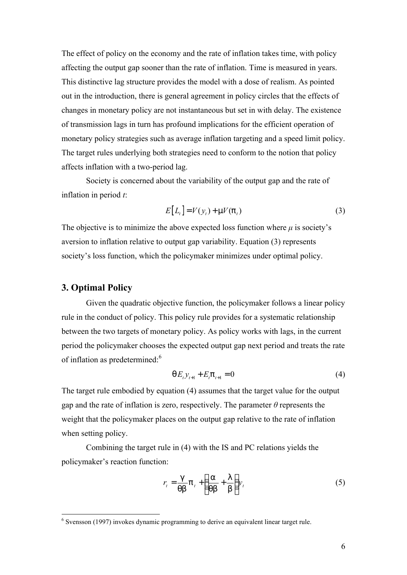The effect of policy on the economy and the rate of inflation takes time, with policy affecting the output gap sooner than the rate of inflation. Time is measured in years. This distinctive lag structure provides the model with a dose of realism. As pointed out in the introduction, there is general agreement in policy circles that the effects of changes in monetary policy are not instantaneous but set in with delay. The existence of transmission lags in turn has profound implications for the efficient operation of monetary policy strategies such as average inflation targeting and a speed limit policy. The target rules underlying both strategies need to conform to the notion that policy affects inflation with a two-period lag.

Society is concerned about the variability of the output gap and the rate of inflation in period *t*:

$$
E[L_t] = V(y_t) + \text{m}V(\mathbf{p}_t)
$$
\n(3)

The objective is to minimize the above expected loss function where  $\mu$  is society's aversion to inflation relative to output gap variability. Equation (3) represents society's loss function, which the policymaker minimizes under optimal policy.

### **3. Optimal Policy**

Given the quadratic objective function, the policymaker follows a linear policy rule in the conduct of policy. This policy rule provides for a systematic relationship between the two targets of monetary policy. As policy works with lags, in the current period the policymaker chooses the expected output gap next period and treats the rate of inflation as predetermined:<sup>6</sup>

$$
qE_{t}y_{t+1} + E_{t}p_{t+1} = 0
$$
\n(4)

The target rule embodied by equation (4) assumes that the target value for the output gap and the rate of inflation is zero, respectively. The parameter *θ* represents the weight that the policymaker places on the output gap relative to the rate of inflation when setting policy.

Combining the target rule in (4) with the IS and PC relations yields the policymaker's reaction function:

$$
r_t = \frac{g}{\mathsf{q}\mathsf{b}} \mathsf{p}_t + \left(\frac{\mathsf{a}}{\mathsf{q}\mathsf{b}} + \frac{\mathsf{l}}{\mathsf{b}}\right) y_t \tag{5}
$$

 6 Svensson (1997) invokes dynamic programming to derive an equivalent linear target rule.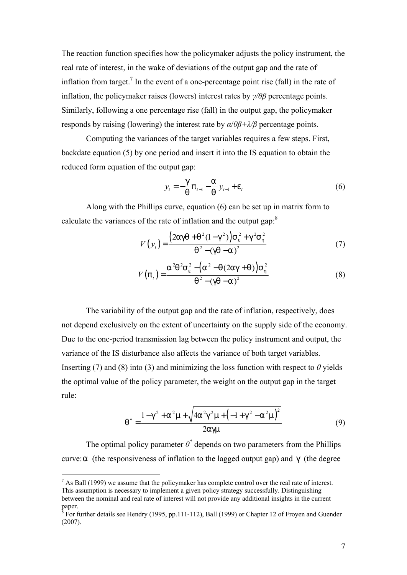The reaction function specifies how the policymaker adjusts the policy instrument, the real rate of interest, in the wake of deviations of the output gap and the rate of inflation from target.<sup>7</sup> In the event of a one-percentage point rise (fall) in the rate of inflation, the policymaker raises (lowers) interest rates by *γ/θβ* percentage points. Similarly, following a one percentage rise (fall) in the output gap, the policymaker responds by raising (lowering) the interest rate by *α*/*θβ+λ/β* percentage points.

Computing the variances of the target variables requires a few steps. First, backdate equation (5) by one period and insert it into the IS equation to obtain the reduced form equation of the output gap:

$$
y_{t} = -\frac{g}{q} p_{t-1} - \frac{a}{q} y_{t-1} + e_{t}
$$
 (6)

Along with the Phillips curve, equation (6) can be set up in matrix form to calculate the variances of the rate of inflation and the output gap:<sup>8</sup>

$$
V(yt) = \frac{(2agq + q2(1 - g2))se2 + g2sh2}{q2 - (gq - a)2}
$$
 (7)

$$
V(p_t) = \frac{a^2 q^2 s_e^2 - (a^2 - q(2ag + q)) s_h^2}{q^2 - (gq - a)^2}
$$
 (8)

The variability of the output gap and the rate of inflation, respectively, does not depend exclusively on the extent of uncertainty on the supply side of the economy. Due to the one-period transmission lag between the policy instrument and output, the variance of the IS disturbance also affects the variance of both target variables. Inserting (7) and (8) into (3) and minimizing the loss function with respect to  $\theta$  yields the optimal value of the policy parameter, the weight on the output gap in the target rule:

$$
q^* = \frac{1 - g^2 + a^2 m + \sqrt{4a^2 g^2 m + (-1 + g^2 - a^2 m)^2}}{2agm}
$$
(9)

The optimal policy parameter  $\theta^*$  depends on two parameters from the Phillips curve:*a* (the responsiveness of inflation to the lagged output gap) and *g* (the degree

 $<sup>7</sup>$  As Ball (1999) we assume that the policymaker has complete control over the real rate of interest.</sup> This assumption is necessary to implement a given policy strategy successfully. Distinguishing between the nominal and real rate of interest will not provide any additional insights in the current paper.

<sup>&</sup>lt;sup>8</sup> For further details see Hendry (1995, pp.111-112), Ball (1999) or Chapter 12 of Froyen and Guender (2007).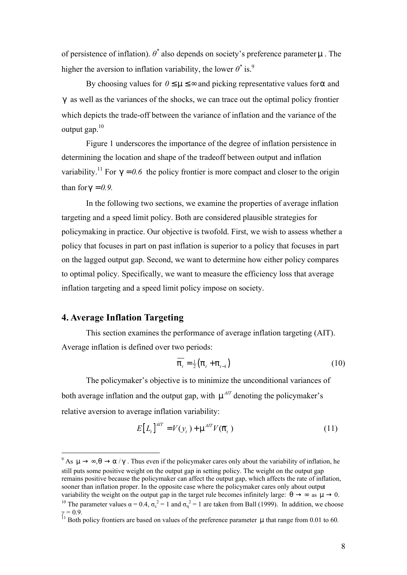of persistence of inflation). *θ \** also depends on society's preference parameter *m* . The higher the aversion to inflation variability, the lower  $\theta^*$  is.<sup>9</sup>

By choosing values for  $0 \le m \le \infty$  and picking representative values for a and *g* as well as the variances of the shocks, we can trace out the optimal policy frontier which depicts the trade-off between the variance of inflation and the variance of the output gap.<sup>10</sup>

Figure 1 underscores the importance of the degree of inflation persistence in determining the location and shape of the tradeoff between output and inflation variability.<sup>11</sup> For  $g = 0.6$  the policy frontier is more compact and closer to the origin than for  $q = 0.9$ .

In the following two sections, we examine the properties of average inflation targeting and a speed limit policy. Both are considered plausible strategies for policymaking in practice. Our objective is twofold. First, we wish to assess whether a policy that focuses in part on past inflation is superior to a policy that focuses in part on the lagged output gap. Second, we want to determine how either policy compares to optimal policy. Specifically, we want to measure the efficiency loss that average inflation targeting and a speed limit policy impose on society.

## **4. Average Inflation Targeting**

 $\overline{a}$ 

This section examines the performance of average inflation targeting (AIT). Average inflation is defined over two periods:

$$
p_{t} = \frac{1}{2} (p_{t} + p_{t-1})
$$
 (10)

The policymaker's objective is to minimize the unconditional variances of both average inflation and the output gap, with  $m^{AT}$  denoting the policymaker's relative aversion to average inflation variability:

$$
E\left[L_t\right]^{AIT} = V(y_t) + \mathsf{m}^{AIT} V(\overline{\mathsf{p}}_t)
$$
\n(11)

<sup>&</sup>lt;sup>9</sup> As  $m \rightarrow \infty$ ,  $q \rightarrow a$  /g. Thus even if the policymaker cares only about the variability of inflation, he still puts some positive weight on the output gap in setting policy. The weight on the output gap remains positive because the policymaker can affect the output gap, which affects the rate of inflation, sooner than inflation proper. In the opposite case where the policymaker cares only about output variability the weight on the output gap in the target rule becomes infinitely large:  $q \rightarrow \infty$  as  $m \rightarrow 0$ . <sup>10</sup> The parameter values  $\alpha = 0.4$ ,  $\sigma_{\epsilon}^2 = 1$  and  $\sigma_{\eta}^2 = 1$  are taken from Ball (1999). In addition, we choose  $γ = 0.9$ .

<sup>11</sup> Both policy frontiers are based on values of the preference parameter *m* that range from 0.01 to 60*.*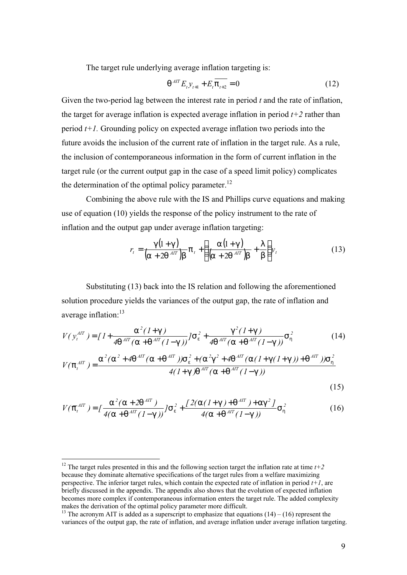The target rule underlying average inflation targeting is:

$$
q^{AT} E_{t} y_{t+1} + E_{t} \overline{p_{t+2}} = 0
$$
 (12)

Given the two-period lag between the interest rate in period *t* and the rate of inflation, the target for average inflation is expected average inflation in period  $t+2$  rather than period *t+1.* Grounding policy on expected average inflation two periods into the future avoids the inclusion of the current rate of inflation in the target rule. As a rule, the inclusion of contemporaneous information in the form of current inflation in the target rule (or the current output gap in the case of a speed limit policy) complicates the determination of the optimal policy parameter.<sup>12</sup>

Combining the above rule with the IS and Phillips curve equations and making use of equation (10) yields the response of the policy instrument to the rate of inflation and the output gap under average inflation targeting:

$$
r_{t} = \frac{g(1+g)}{(a+2q^{AT})b} p_{t} + \left(\frac{a(1+g)}{(a+2q^{AT})b} + \frac{1}{b}\right) y_{t}
$$
(13)

Substituting (13) back into the IS relation and following the aforementioned solution procedure yields the variances of the output gap, the rate of inflation and average inflation:<sup>13</sup>

$$
V(y_t^{AT}) = \left[1 + \frac{a^2 (1+g)}{4q^{AT} (a+q^{AT} (1-g))}\right] S_e^2 + \frac{g^2 (1+g)}{4q^{AT} (a+q^{AT} (1-g))} S_n^2 \tag{14}
$$

$$
V(\mathsf{p}_{t}^{AIT}) = \frac{\mathsf{a}^{2}(\mathsf{a}^{2} + 4\mathsf{q}^{AIT}(\mathsf{a} + \mathsf{q}^{AIT}))\mathsf{S}_{e}^{2} + (\mathsf{a}^{2}\mathsf{g}^{2} + 4\mathsf{q}^{AIT}(\mathsf{a}(1 + \mathsf{g}(1 + \mathsf{g}))) + \mathsf{q}^{AIT})\mathsf{S}_{h}^{2}}{4(1 + \mathsf{g})\mathsf{q}^{AIT}(\mathsf{a} + \mathsf{q}^{AIT}(1 - \mathsf{g}))}
$$
\n(15)

$$
V(\bar{p}_{t}^{AIT}) = \left[\frac{a^{2}(a + 2q^{AIT})}{4(a + q^{AIT}(I - g))}\right]S_{e}^{2} + \frac{\left[2(a(I + g) + q^{AIT}) + ag^{2}J\right]}{4(a + q^{AIT}(I - g))}S_{h}^{2}
$$
\n(16)

<sup>&</sup>lt;sup>12</sup> The target rules presented in this and the following section target the inflation rate at time  $t+2$ because they dominate alternative specifications of the target rules from a welfare maximizing perspective. The inferior target rules, which contain the expected rate of inflation in period *t+1*, are briefly discussed in the appendix. The appendix also shows that the evolution of expected inflation becomes more complex if contemporaneous information enters the target rule. The added complexity makes the derivation of the optimal policy parameter more difficult.

<sup>&</sup>lt;sup>13</sup> The acronym AIT is added as a superscript to emphasize that equations  $(14) - (16)$  represent the variances of the output gap, the rate of inflation, and average inflation under average inflation targeting.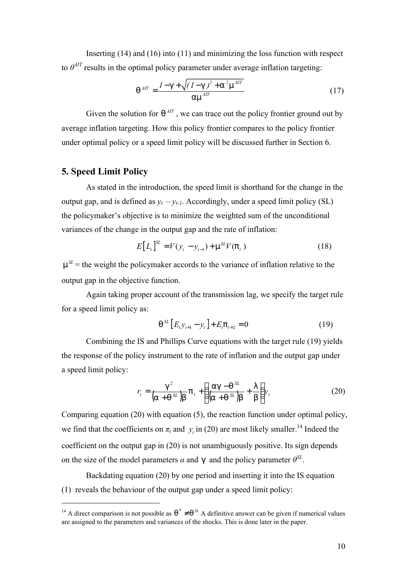Inserting (14) and (16) into (11) and minimizing the loss function with respect to  $\theta^{AT}$  results in the optimal policy parameter under average inflation targeting:

$$
q^{AT} = \frac{I - g + \sqrt{(I - g)^2 + a^2 m^{AT}}}{am^{AT}}
$$
(17)

Given the solution for  $q^{AT}$ , we can trace out the policy frontier ground out by average inflation targeting. How this policy frontier compares to the policy frontier under optimal policy or a speed limit policy will be discussed further in Section 6.

### **5. Speed Limit Policy**

 $\overline{a}$ 

As stated in the introduction, the speed limit is shorthand for the change in the output gap, and is defined as  $y_t - y_{t-1}$ . Accordingly, under a speed limit policy (SL) the policymaker's objective is to minimize the weighted sum of the unconditional variances of the change in the output gap and the rate of inflation:

$$
E[L_t]^{\text{SL}} = V(y_t - y_{t-1}) + \mathsf{m}^{\text{SL}} V(\mathsf{p}_t)
$$
\n(18)

 $m<sup>SL</sup>$  = the weight the policymaker accords to the variance of inflation relative to the output gap in the objective function.

Again taking proper account of the transmission lag, we specify the target rule for a speed limit policy as:

$$
q^{SL} [E_t y_{t+1} - y_t] + E_t p_{t+2} = 0
$$
 (19)

Combining the IS and Phillips Curve equations with the target rule (19) yields the response of the policy instrument to the rate of inflation and the output gap under a speed limit policy:

$$
r_{t} = \frac{g^{2}}{(a + g^{SL})b} p_{t} + \left(\frac{ag - g^{SL}}{(a + g^{SL})b} + \frac{1}{b}\right) v_{t}
$$
 (20)

Comparing equation (20) with equation (5), the reaction function under optimal policy, we find that the coefficients on  $\pi_t$  and  $y_t$  in (20) are most likely smaller.<sup>14</sup> Indeed the coefficient on the output gap in (20) is not unambiguously positive. Its sign depends on the size of the model parameters  $\alpha$  and  $\beta$  and the policy parameter  $\theta^{SL}$ .

Backdating equation (20) by one period and inserting it into the IS equation (1) reveals the behaviour of the output gap under a speed limit policy:

<sup>&</sup>lt;sup>14</sup> A direct comparison is not possible as  $q^* \neq q^{\mathcal{L}}$  A definitive answer can be given if numerical values are assigned to the parameters and variances of the shocks. This is done later in the paper.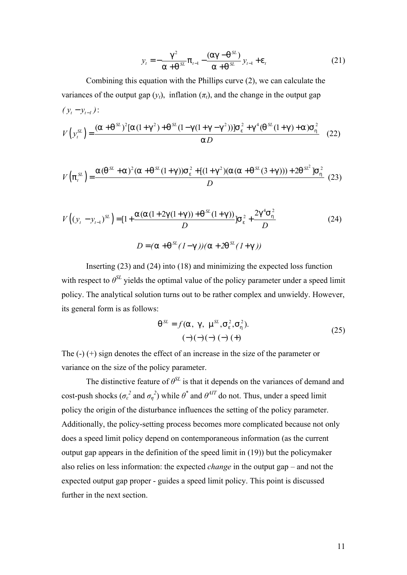$$
y_{t} = -\frac{g^{2}}{a + g^{SL}} p_{t-1} - \frac{(ag - g^{SL})}{a + g^{SL}} y_{t-1} + e_{t}
$$
 (21)

Combining this equation with the Phillips curve (2), we can calculate the variances of the output gap  $(y_t)$ , inflation  $(\pi_t)$ , and the change in the output gap  $(y_t - y_{t-1})$ :

$$
V(y_t^{SL}) = \frac{(a + q^{SL})^2 [a(1 + g^2) + q^{SL}(1 - g(1 + g - g^2))]s_e^2 + g^4 (q^{SL}(1 + g) + a)s_h^2}{a D}
$$
(22)

$$
V(p_t^{SL}) = \frac{a(q^{SL} + a)^2 (a + q^{SL}(1 + g))s_e^2 + [(1 + g^2)(a(a + q^{SL}(3 + g))) + 2q^{SL}^2]s_h^2}{D}
$$
(23)

$$
V((y_t - y_{t-1})^{SL}) = [1 + \frac{a(a(1+2g(1+g)) + q^{SL}(1+g))}{D}]s_e^2 + \frac{2g^4 s_h^2}{D}
$$
(24)  

$$
D = (a + q^{SL}(1-g))(a + 2q^{SL}(1+g))
$$

Inserting (23) and (24) into (18) and minimizing the expected loss function with respect to  $\theta^{SL}$  yields the optimal value of the policy parameter under a speed limit policy. The analytical solution turns out to be rather complex and unwieldy. However, its general form is as follows:

$$
q^{SL} = f(a, g, m^{SL}, S_e^2, S_h^2).
$$
  
(-)(-)(-)(-)(+) (+) (25)

The (-) (+) sign denotes the effect of an increase in the size of the parameter or variance on the size of the policy parameter.

The distinctive feature of  $\theta^{SL}$  is that it depends on the variances of demand and cost-push shocks  $(\sigma_{\varepsilon}^2 \text{ and } \sigma_{\eta}^2)$  while  $\theta^*$  and  $\theta^{AT}$  do not. Thus, under a speed limit policy the origin of the disturbance influences the setting of the policy parameter. Additionally, the policy-setting process becomes more complicated because not only does a speed limit policy depend on contemporaneous information (as the current output gap appears in the definition of the speed limit in (19)) but the policymaker also relies on less information: the expected *change* in the output gap – and not the expected output gap proper - guides a speed limit policy. This point is discussed further in the next section.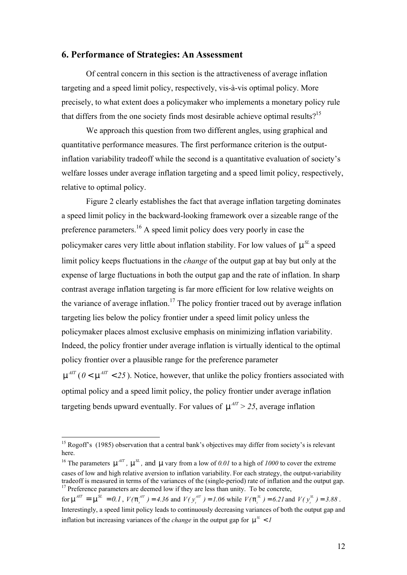### **6. Performance of Strategies: An Assessment**

Of central concern in this section is the attractiveness of average inflation targeting and a speed limit policy, respectively, vis-à-vis optimal policy. More precisely, to what extent does a policymaker who implements a monetary policy rule that differs from the one society finds most desirable achieve optimal results?<sup>15</sup>

We approach this question from two different angles, using graphical and quantitative performance measures. The first performance criterion is the outputinflation variability tradeoff while the second is a quantitative evaluation of society's welfare losses under average inflation targeting and a speed limit policy, respectively, relative to optimal policy.

Figure 2 clearly establishes the fact that average inflation targeting dominates a speed limit policy in the backward-looking framework over a sizeable range of the preference parameters.<sup>16</sup> A speed limit policy does very poorly in case the policymaker cares very little about inflation stability. For low values of  $m^{SL}$  a speed limit policy keeps fluctuations in the *change* of the output gap at bay but only at the expense of large fluctuations in both the output gap and the rate of inflation. In sharp contrast average inflation targeting is far more efficient for low relative weights on the variance of average inflation.<sup>17</sup> The policy frontier traced out by average inflation targeting lies below the policy frontier under a speed limit policy unless the policymaker places almost exclusive emphasis on minimizing inflation variability. Indeed, the policy frontier under average inflation is virtually identical to the optimal policy frontier over a plausible range for the preference parameter  $m^{AT}$  (  $0 < m^{AT} < 25$  ). Notice, however, that unlike the policy frontiers associated with optimal policy and a speed limit policy, the policy frontier under average inflation targeting bends upward eventually. For values of  $m^{AT} > 25$ , average inflation

<sup>&</sup>lt;sup>15</sup> Rogoff's (1985) observation that a central bank's objectives may differ from society's is relevant here.

<sup>&</sup>lt;sup>16</sup> The parameters  $m^{AT}$ ,  $m^{SL}$ , and  $m$  vary from a low of 0.01 to a high of 1000 to cover the extreme cases of low and high relative aversion to inflation variability. For each strategy, the output-variability tradeoff is measured in terms of the variances of the (single-period) rate of inflation and the output gap.  $17$  Preference parameters are deemed low if they are less than unity. To be concrete,

for  $m^{AT} = m^{SL} = 0.1$ ,  $V(p^{AT})$  $V(\mathbf{p}_t^{AT}) = 4.36$  and  $V(\mathbf{y}_t^{AT}) = 1.06$  while  $V(\mathbf{p}_t^{SL}) = 6.21$  and  $V(\mathbf{y}_t^{SL}) = 3.88$ . Interestingly, a speed limit policy leads to continuously decreasing variances of both the output gap and inflation but increasing variances of the *change* in the output gap for  $m^{\mathcal{L}} < I$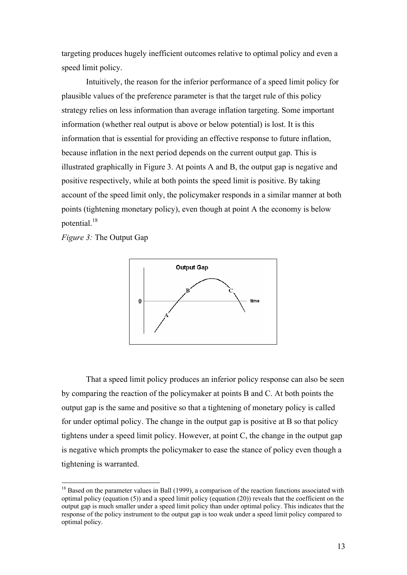targeting produces hugely inefficient outcomes relative to optimal policy and even a speed limit policy.

Intuitively, the reason for the inferior performance of a speed limit policy for plausible values of the preference parameter is that the target rule of this policy strategy relies on less information than average inflation targeting. Some important information (whether real output is above or below potential) is lost. It is this information that is essential for providing an effective response to future inflation, because inflation in the next period depends on the current output gap. This is illustrated graphically in Figure 3. At points A and B, the output gap is negative and positive respectively, while at both points the speed limit is positive. By taking account of the speed limit only, the policymaker responds in a similar manner at both points (tightening monetary policy), even though at point A the economy is below potential.<sup>18</sup>

*Figure 3:* The Output Gap

 $\overline{a}$ 



That a speed limit policy produces an inferior policy response can also be seen by comparing the reaction of the policymaker at points B and C. At both points the output gap is the same and positive so that a tightening of monetary policy is called for under optimal policy. The change in the output gap is positive at B so that policy tightens under a speed limit policy. However, at point C, the change in the output gap is negative which prompts the policymaker to ease the stance of policy even though a tightening is warranted.

 $18$  Based on the parameter values in Ball (1999), a comparison of the reaction functions associated with optimal policy (equation (5)) and a speed limit policy (equation (20)) reveals that the coefficient on the output gap is much smaller under a speed limit policy than under optimal policy. This indicates that the response of the policy instrument to the output gap is too weak under a speed limit policy compared to optimal policy.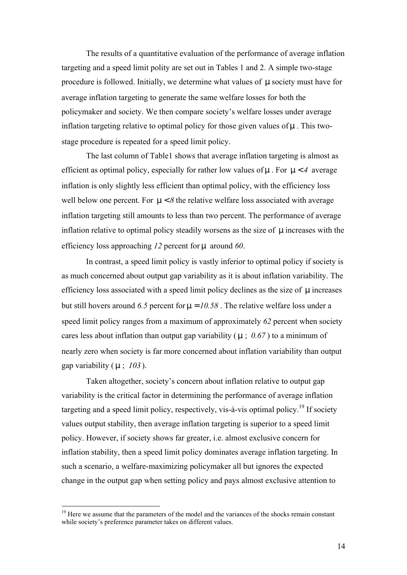The results of a quantitative evaluation of the performance of average inflation targeting and a speed limit polity are set out in Tables 1 and 2. A simple two-stage procedure is followed. Initially, we determine what values of *m* society must have for average inflation targeting to generate the same welfare losses for both the policymaker and society. We then compare society's welfare losses under average inflation targeting relative to optimal policy for those given values of *m* . This twostage procedure is repeated for a speed limit policy.

The last column of Table1 shows that average inflation targeting is almost as efficient as optimal policy, especially for rather low values of *m* . For *m* < *4* average inflation is only slightly less efficient than optimal policy, with the efficiency loss well below one percent. For  $m < 8$  the relative welfare loss associated with average inflation targeting still amounts to less than two percent. The performance of average inflation relative to optimal policy steadily worsens as the size of *m* increases with the efficiency loss approaching *12* percent for *m* around *60*.

In contrast, a speed limit policy is vastly inferior to optimal policy if society is as much concerned about output gap variability as it is about inflation variability. The efficiency loss associated with a speed limit policy declines as the size of *m* increases but still hovers around *6.5* percent for *m* = *10.58* . The relative welfare loss under a speed limit policy ranges from a maximum of approximately *62* percent when society cares less about inflation than output gap variability ( *m* ; *0.67* ) to a minimum of nearly zero when society is far more concerned about inflation variability than output gap variability ( *m* ; *103* ).

Taken altogether, society's concern about inflation relative to output gap variability is the critical factor in determining the performance of average inflation targeting and a speed limit policy, respectively, vis-à-vis optimal policy.<sup>19</sup> If society values output stability, then average inflation targeting is superior to a speed limit policy. However, if society shows far greater, i.e. almost exclusive concern for inflation stability, then a speed limit policy dominates average inflation targeting. In such a scenario, a welfare-maximizing policymaker all but ignores the expected change in the output gap when setting policy and pays almost exclusive attention to

<sup>&</sup>lt;sup>19</sup> Here we assume that the parameters of the model and the variances of the shocks remain constant while society's preference parameter takes on different values.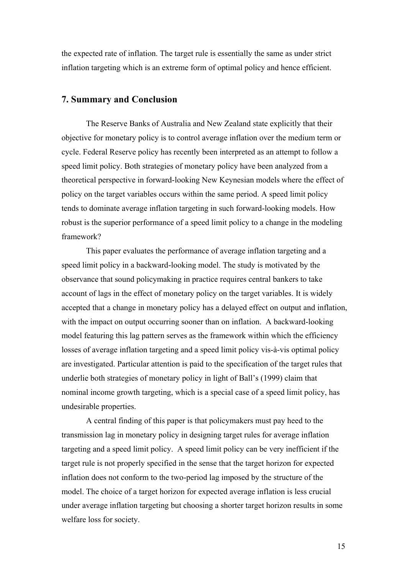the expected rate of inflation. The target rule is essentially the same as under strict inflation targeting which is an extreme form of optimal policy and hence efficient.

### **7. Summary and Conclusion**

The Reserve Banks of Australia and New Zealand state explicitly that their objective for monetary policy is to control average inflation over the medium term or cycle. Federal Reserve policy has recently been interpreted as an attempt to follow a speed limit policy. Both strategies of monetary policy have been analyzed from a theoretical perspective in forward-looking New Keynesian models where the effect of policy on the target variables occurs within the same period. A speed limit policy tends to dominate average inflation targeting in such forward-looking models. How robust is the superior performance of a speed limit policy to a change in the modeling framework?

This paper evaluates the performance of average inflation targeting and a speed limit policy in a backward-looking model. The study is motivated by the observance that sound policymaking in practice requires central bankers to take account of lags in the effect of monetary policy on the target variables. It is widely accepted that a change in monetary policy has a delayed effect on output and inflation, with the impact on output occurring sooner than on inflation. A backward-looking model featuring this lag pattern serves as the framework within which the efficiency losses of average inflation targeting and a speed limit policy vis-à-vis optimal policy are investigated. Particular attention is paid to the specification of the target rules that underlie both strategies of monetary policy in light of Ball's (1999) claim that nominal income growth targeting, which is a special case of a speed limit policy, has undesirable properties.

A central finding of this paper is that policymakers must pay heed to the transmission lag in monetary policy in designing target rules for average inflation targeting and a speed limit policy. A speed limit policy can be very inefficient if the target rule is not properly specified in the sense that the target horizon for expected inflation does not conform to the two-period lag imposed by the structure of the model. The choice of a target horizon for expected average inflation is less crucial under average inflation targeting but choosing a shorter target horizon results in some welfare loss for society.

15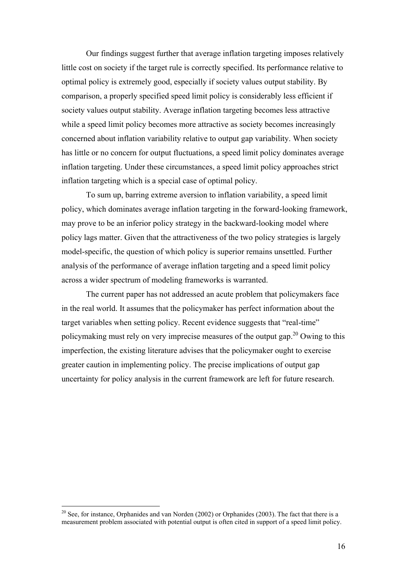Our findings suggest further that average inflation targeting imposes relatively little cost on society if the target rule is correctly specified. Its performance relative to optimal policy is extremely good, especially if society values output stability. By comparison, a properly specified speed limit policy is considerably less efficient if society values output stability. Average inflation targeting becomes less attractive while a speed limit policy becomes more attractive as society becomes increasingly concerned about inflation variability relative to output gap variability. When society has little or no concern for output fluctuations, a speed limit policy dominates average inflation targeting. Under these circumstances, a speed limit policy approaches strict inflation targeting which is a special case of optimal policy.

To sum up, barring extreme aversion to inflation variability, a speed limit policy, which dominates average inflation targeting in the forward-looking framework, may prove to be an inferior policy strategy in the backward-looking model where policy lags matter. Given that the attractiveness of the two policy strategies is largely model-specific, the question of which policy is superior remains unsettled. Further analysis of the performance of average inflation targeting and a speed limit policy across a wider spectrum of modeling frameworks is warranted.

The current paper has not addressed an acute problem that policymakers face in the real world. It assumes that the policymaker has perfect information about the target variables when setting policy. Recent evidence suggests that "real-time" policymaking must rely on very imprecise measures of the output gap.<sup>20</sup> Owing to this imperfection, the existing literature advises that the policymaker ought to exercise greater caution in implementing policy. The precise implications of output gap uncertainty for policy analysis in the current framework are left for future research.

 $20$  See, for instance, Orphanides and van Norden (2002) or Orphanides (2003). The fact that there is a measurement problem associated with potential output is often cited in support of a speed limit policy.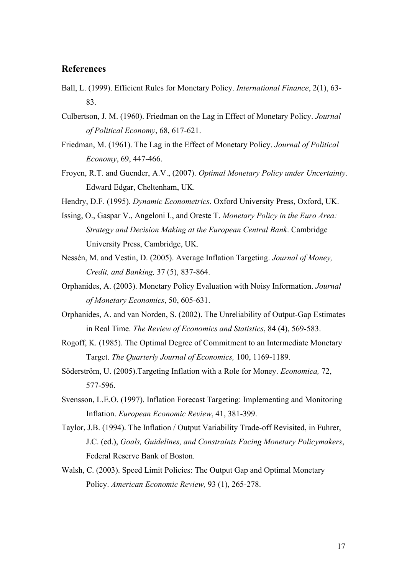## **References**

- Ball, L. (1999). Efficient Rules for Monetary Policy. *International Finance*, 2(1), 63- 83.
- Culbertson, J. M. (1960). Friedman on the Lag in Effect of Monetary Policy. *Journal of Political Economy*, 68, 617-621.
- Friedman, M. (1961). The Lag in the Effect of Monetary Policy. *Journal of Political Economy*, 69, 447-466.
- Froyen, R.T. and Guender, A.V., (2007). *Optimal Monetary Policy under Uncertainty*. Edward Edgar, Cheltenham, UK.
- Hendry, D.F. (1995). *Dynamic Econometrics*. Oxford University Press, Oxford, UK.
- Issing, O., Gaspar V., Angeloni I., and Oreste T. *Monetary Policy in the Euro Area: Strategy and Decision Making at the European Central Bank*. Cambridge University Press, Cambridge, UK.
- Nessén, M. and Vestin, D. (2005). Average Inflation Targeting. *Journal of Money, Credit, and Banking,* 37 (5), 837-864.
- Orphanides, A. (2003). Monetary Policy Evaluation with Noisy Information. *Journal of Monetary Economics*, 50, 605-631.
- Orphanides, A. and van Norden, S. (2002). The Unreliability of Output-Gap Estimates in Real Time. *The Review of Economics and Statistics*, 84 (4), 569-583.
- Rogoff, K. (1985). The Optimal Degree of Commitment to an Intermediate Monetary Target. *The Quarterly Journal of Economics,* 100, 1169-1189.
- Söderström, U. (2005).Targeting Inflation with a Role for Money. *Economica,* 72, 577-596.
- Svensson, L.E.O. (1997). Inflation Forecast Targeting: Implementing and Monitoring Inflation. *European Economic Review*, 41, 381-399.
- Taylor, J.B. (1994). The Inflation / Output Variability Trade-off Revisited, in Fuhrer, J.C. (ed.), *Goals, Guidelines, and Constraints Facing Monetary Policymakers*, Federal Reserve Bank of Boston.
- Walsh, C. (2003). Speed Limit Policies: The Output Gap and Optimal Monetary Policy. *American Economic Review,* 93 (1), 265-278.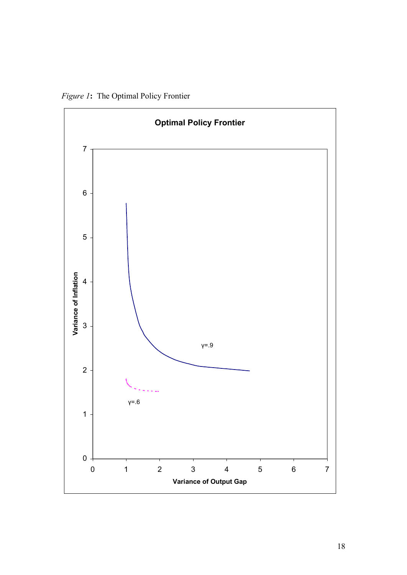*Figure 1***:** The Optimal Policy Frontier

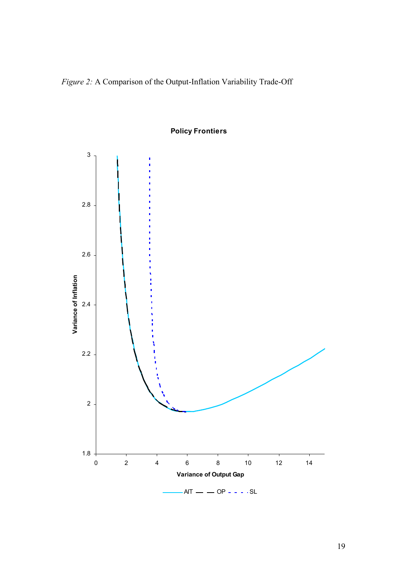*Figure 2:* A Comparison of the Output-Inflation Variability Trade-Off



**Policy Frontiers**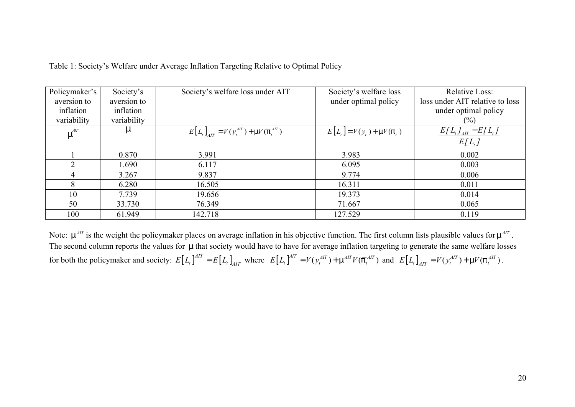| Policymaker's  | Society's   | Society's welfare loss under AIT           | Society's welfare loss      | <b>Relative Loss:</b>           |
|----------------|-------------|--------------------------------------------|-----------------------------|---------------------------------|
|                |             |                                            |                             |                                 |
| aversion to    | aversion to |                                            | under optimal policy        | loss under AIT relative to loss |
| inflation      | inflation   |                                            |                             | under optimal policy            |
| variability    | variability |                                            |                             | $(\%)$                          |
| $m^{AT}$       | m           | $E[L_t]_{AT} = V(y_t^{AT}) + mV(p_t^{AT})$ | $E[L_t] = V(y_t) + mV(p_t)$ | $E[L_t]_{AT} - E[L_t]$          |
|                |             |                                            |                             | $E[L_t]$                        |
|                | 0.870       | 3.991                                      | 3.983                       | 0.002                           |
| $\overline{2}$ | 1.690       | 6.117                                      | 6.095                       | 0.003                           |
| 4              | 3.267       | 9.837                                      | 9.774                       | 0.006                           |
| 8              | 6.280       | 16.505                                     | 16.311                      | 0.011                           |
| 10             | 7.739       | 19.656                                     | 19.373                      | 0.014                           |
| 50             | 33.730      | 76.349                                     | 71.667                      | 0.065                           |
| 100            | 61.949      | 142.718                                    | 127.529                     | 0.119                           |

Table 1: Society's Welfare under Average Inflation Targeting Relative to Optimal Policy

Note:  $m^{AT}$  is the weight the policymaker places on average inflation in his objective function. The first column lists plausible values for  $m^{AT}$ . The second column reports the values for *m* that society would have to have for average inflation targeting to generate the same welfare losses for both the policymaker and society:  $E[L_t]^{AIT} = E[L_t]_{AIT}$  where  $E[L_t]^{AIT} = V(y_t^{AIT}) + m^{AIT}V(\overline{p}_t^{AIT})$  and  $E[L_t]_{AIT} = V(y_t^{AIT}) + mV(p_t^{AIT})$ .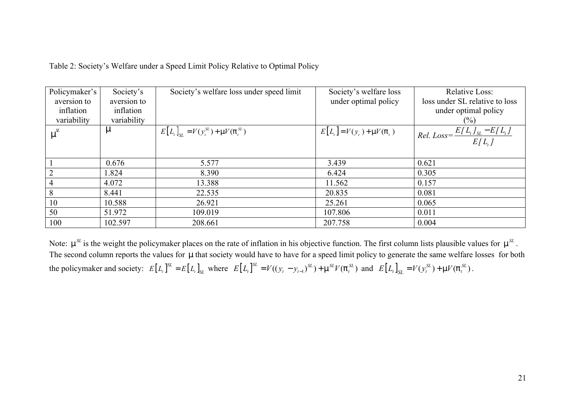| Policymaker's | Society's   | Society's welfare loss under speed limit                                        | Society's welfare loss         | <b>Relative Loss:</b>                             |
|---------------|-------------|---------------------------------------------------------------------------------|--------------------------------|---------------------------------------------------|
| aversion to   | aversion to |                                                                                 | under optimal policy           | loss under SL relative to loss                    |
| inflation     | inflation   |                                                                                 |                                | under optimal policy                              |
| variability   | variability |                                                                                 |                                | $(\%)$                                            |
| $m^{SL}$      | m           | $E[L_t]_{\text{SL}} = V(y_t^{\text{SL}}) + \text{m}V(\mathsf{p}_t^{\text{SL}})$ | $E[L_t] = V(y_t) + mV(\rho_t)$ | Rel. Loss = $\frac{E[L_t]_{SL} - E[L_t]}{E[L_t]}$ |
|               |             |                                                                                 |                                |                                                   |
|               | 0.676       | 5.577                                                                           | 3.439                          | 0.621                                             |
|               | 1.824       | 8.390                                                                           | 6.424                          | 0.305                                             |
|               | 4.072       | 13.388                                                                          | 11.562                         | 0.157                                             |
| 8             | 8.441       | 22.535                                                                          | 20.835                         | 0.081                                             |
| 10            | 10.588      | 26.921                                                                          | 25.261                         | 0.065                                             |
| 50            | 51.972      | 109.019                                                                         | 107.806                        | 0.011                                             |
| 100           | 102.597     | 208.661                                                                         | 207.758                        | 0.004                                             |

Table 2: Society's Welfare under a Speed Limit Policy Relative to Optimal Policy

Note:  $m^{SL}$  is the weight the policymaker places on the rate of inflation in his objective function. The first column lists plausible values for  $m^{SL}$ . The second column reports the values for *m* that society would have to have for a speed limit policy to generate the same welfare losses for both the policymaker and society:  $E[L_t]_{SL}^S = E[L_t]_{SL}$  where  $E[L_t]_{SL}^S = V((y_t - y_{t-1})_{SL}) + \mathfrak{m}^{SL}V(\mathfrak{p}_t^{SL})$  and  $E[L_t]_{SL} = V(y_t^{SL}) + \mathfrak{m}V(\mathfrak{p}_t^{SL})$ .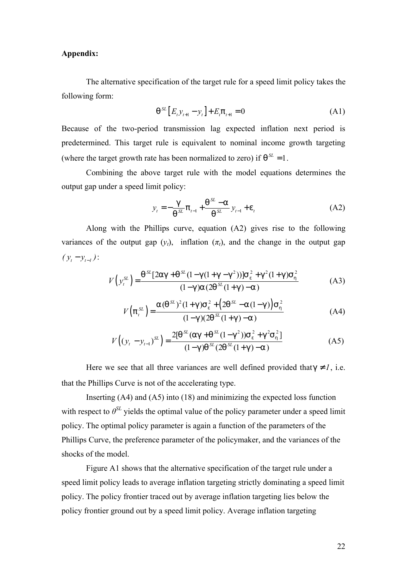#### **Appendix:**

The alternative specification of the target rule for a speed limit policy takes the following form:

$$
q^{SL}[E_t y_{t+1} - y_t] + E_t p_{t+1} = 0
$$
 (A1)

Because of the two-period transmission lag expected inflation next period is predetermined. This target rule is equivalent to nominal income growth targeting (where the target growth rate has been normalized to zero) if  $q^{SL} = 1$ .

Combining the above target rule with the model equations determines the output gap under a speed limit policy:

$$
y_{t} = -\frac{g}{q^{SL}} p_{t-1} + \frac{q^{SL} - a}{q^{SL}} y_{t-1} + e_{t}
$$
 (A2)

Along with the Phillips curve, equation (A2) gives rise to the following variances of the output gap  $(y_t)$ , inflation  $(\pi_t)$ , and the change in the output gap  $(y_t - y_{t-1})$ :

$$
V(y_t^{SL}) = \frac{q^{SL}[2ag + q^{SL}(1 - g(1 + g - g^2))]s_e^2 + g^2(1 + g)s_h^2}{(1 - g)a(2q^{SL}(1 + g) - a)}
$$
(A3)

$$
V(p_t^{SL}) = \frac{a(q^{SL})^2 (1+g) s_e^2 + (2q^{SL} - a(1-g)) s_h^2}{(1-g)(2q^{SL}(1+g) - a)}
$$
(A4)

$$
V((y_t - y_{t-1})^{SL}) = \frac{2[q^{SL}(ag + q^{SL}(1-q^{2}))S_e^2 + g^2S_h^2]}{(1-q)q^{SL}(2q^{SL}(1+g)-a)}
$$
(A5)

Here we see that all three variances are well defined provided that  $g \neq l$ , i.e. that the Phillips Curve is not of the accelerating type.

Inserting (A4) and (A5) into (18) and minimizing the expected loss function with respect to  $\theta^{SL}$  yields the optimal value of the policy parameter under a speed limit policy. The optimal policy parameter is again a function of the parameters of the Phillips Curve, the preference parameter of the policymaker, and the variances of the shocks of the model.

Figure A1 shows that the alternative specification of the target rule under a speed limit policy leads to average inflation targeting strictly dominating a speed limit policy. The policy frontier traced out by average inflation targeting lies below the policy frontier ground out by a speed limit policy. Average inflation targeting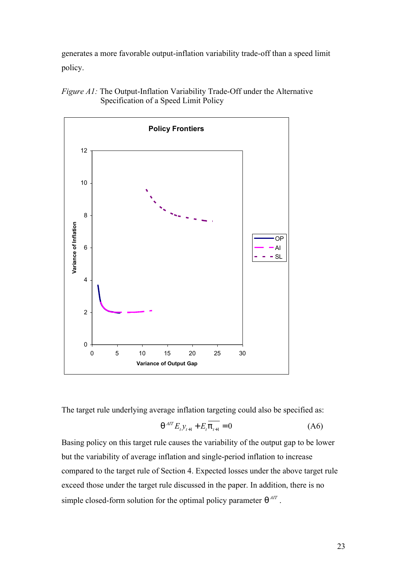generates a more favorable output-inflation variability trade-off than a speed limit policy.





The target rule underlying average inflation targeting could also be specified as:

$$
q^{AT} E_{t} y_{t+1} + E_{t} \overline{p_{t+1}} = 0
$$
 (A6)

Basing policy on this target rule causes the variability of the output gap to be lower but the variability of average inflation and single-period inflation to increase compared to the target rule of Section 4. Expected losses under the above target rule exceed those under the target rule discussed in the paper. In addition, there is no simple closed-form solution for the optimal policy parameter  $q^{AT}$ .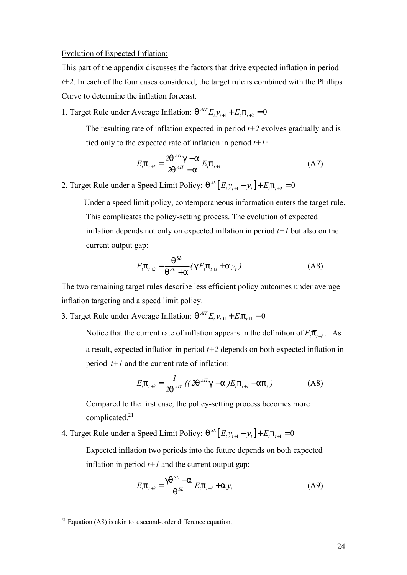#### Evolution of Expected Inflation:

This part of the appendix discusses the factors that drive expected inflation in period  $t+2$ . In each of the four cases considered, the target rule is combined with the Phillips Curve to determine the inflation forecast.

1. Target Rule under Average Inflation:  $q^{AT} E_t y_{t+1} + E_t p_{t+2} = 0$ 

The resulting rate of inflation expected in period  $t+2$  evolves gradually and is tied only to the expected rate of inflation in period *t+1:*

$$
E_{t} \mathsf{p}_{t+2} = \frac{2\mathsf{q}^{AT}\mathsf{g} - \mathsf{a}}{2\mathsf{q}^{AT} + \mathsf{a}} E_{t} \mathsf{p}_{t+1}
$$
(A7)

2. Target Rule under a Speed Limit Policy:  $q^{SL} [E_t y_{t+1} - y_t] + E_t p_{t+2} = 0$ 

Under a speed limit policy, contemporaneous information enters the target rule. This complicates the policy-setting process. The evolution of expected inflation depends not only on expected inflation in period *t+1* but also on the current output gap:

$$
E_{t} \mathsf{p}_{t+2} = \frac{\mathsf{q}^{SL}}{\mathsf{q}^{SL} + \mathsf{a}} (\mathsf{g} E_{t} \mathsf{p}_{t+1} + \mathsf{a} y_{t})
$$
(A8)

The two remaining target rules describe less efficient policy outcomes under average inflation targeting and a speed limit policy.

3. Target Rule under Average Inflation:  $q^{AT}E_t y_{t+1} + E_t \overline{p}_{t+1} = 0$ 

Notice that the current rate of inflation appears in the definition of  $E_t \overline{p}_{t+1}$ . As a result, expected inflation in period *t+2* depends on both expected inflation in period  $t+1$  and the current rate of inflation:

$$
E_t \mathsf{p}_{t+2} = \frac{1}{2\mathsf{q}^{AIT}} ((2\mathsf{q}^{AIT}\mathsf{g} - \mathsf{a}) E_t \mathsf{p}_{t+1} - \mathsf{a} \mathsf{p}_t)
$$
(A8)

Compared to the first case, the policy-setting process becomes more complicated.<sup>21</sup>

4. Target Rule under a Speed Limit Policy:  $q^{SL} [E_t y_{t+1} - y_t] + E_t p_{t+1} = 0$ 

Expected inflation two periods into the future depends on both expected inflation in period  $t+1$  and the current output gap:

$$
E_{t} \mathsf{p}_{t+2} = \frac{\mathsf{g} \mathsf{q}^{SL} - \mathsf{a}}{\mathsf{q}^{SL}} E_{t} \mathsf{p}_{t+1} + \mathsf{a} y_{t}
$$
(A9)

 $^{21}$  Equation (A8) is akin to a second-order difference equation.